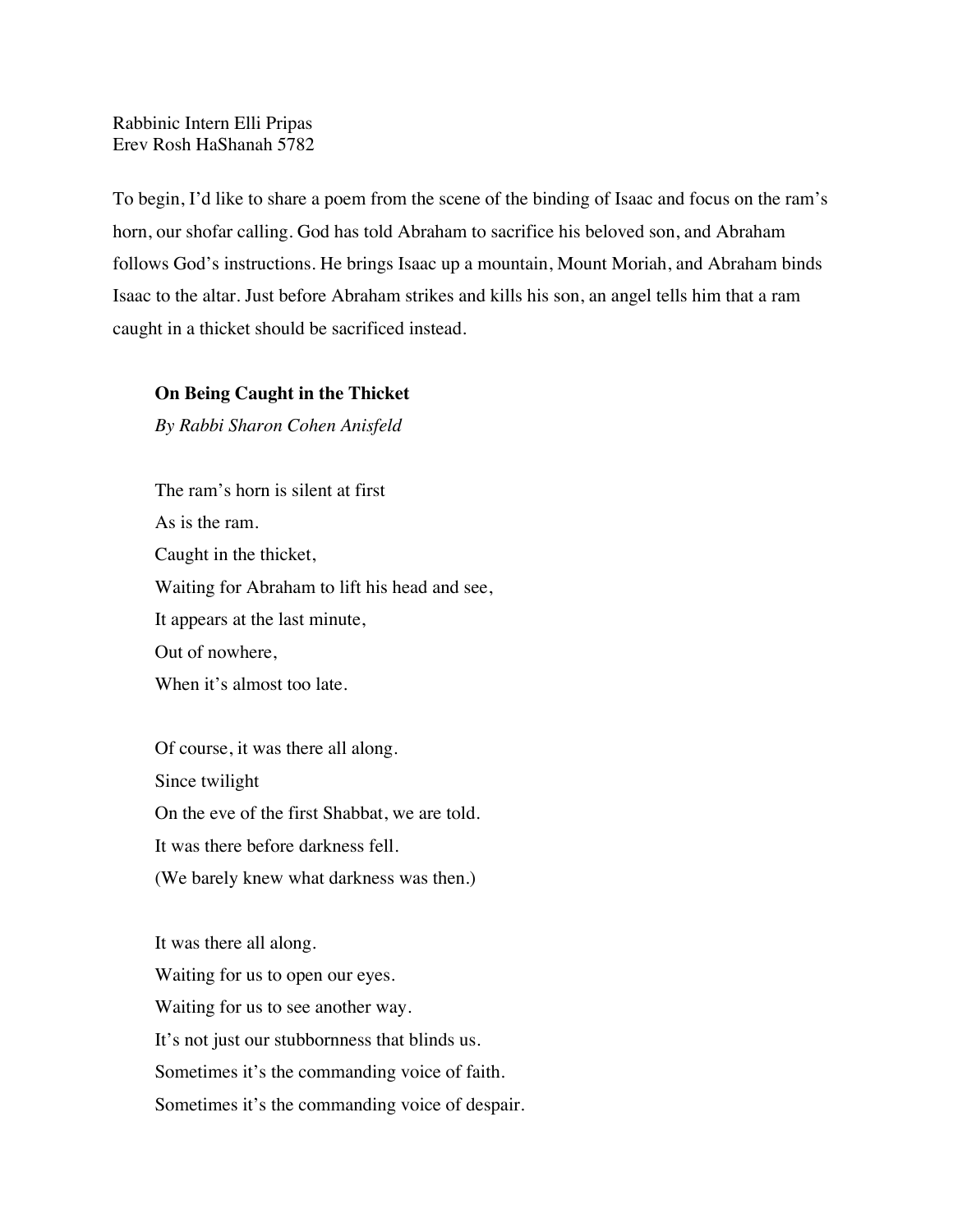Rabbinic Intern Elli Pripas Erev Rosh HaShanah 5782

To begin, I'd like to share a poem from the scene of the binding of Isaac and focus on the ram's horn, our shofar calling. God has told Abraham to sacrifice his beloved son, and Abraham follows God's instructions. He brings Isaac up a mountain, Mount Moriah, and Abraham binds Isaac to the altar. Just before Abraham strikes and kills his son, an angel tells him that a ram caught in a thicket should be sacrificed instead.

## **On Being Caught in the Thicket**

*By Rabbi Sharon Cohen Anisfeld*

The ram's horn is silent at first As is the ram. Caught in the thicket, Waiting for Abraham to lift his head and see, It appears at the last minute, Out of nowhere, When it's almost too late.

Of course, it was there all along. Since twilight On the eve of the first Shabbat, we are told. It was there before darkness fell. (We barely knew what darkness was then.)

It was there all along. Waiting for us to open our eyes. Waiting for us to see another way. It's not just our stubbornness that blinds us. Sometimes it's the commanding voice of faith. Sometimes it's the commanding voice of despair.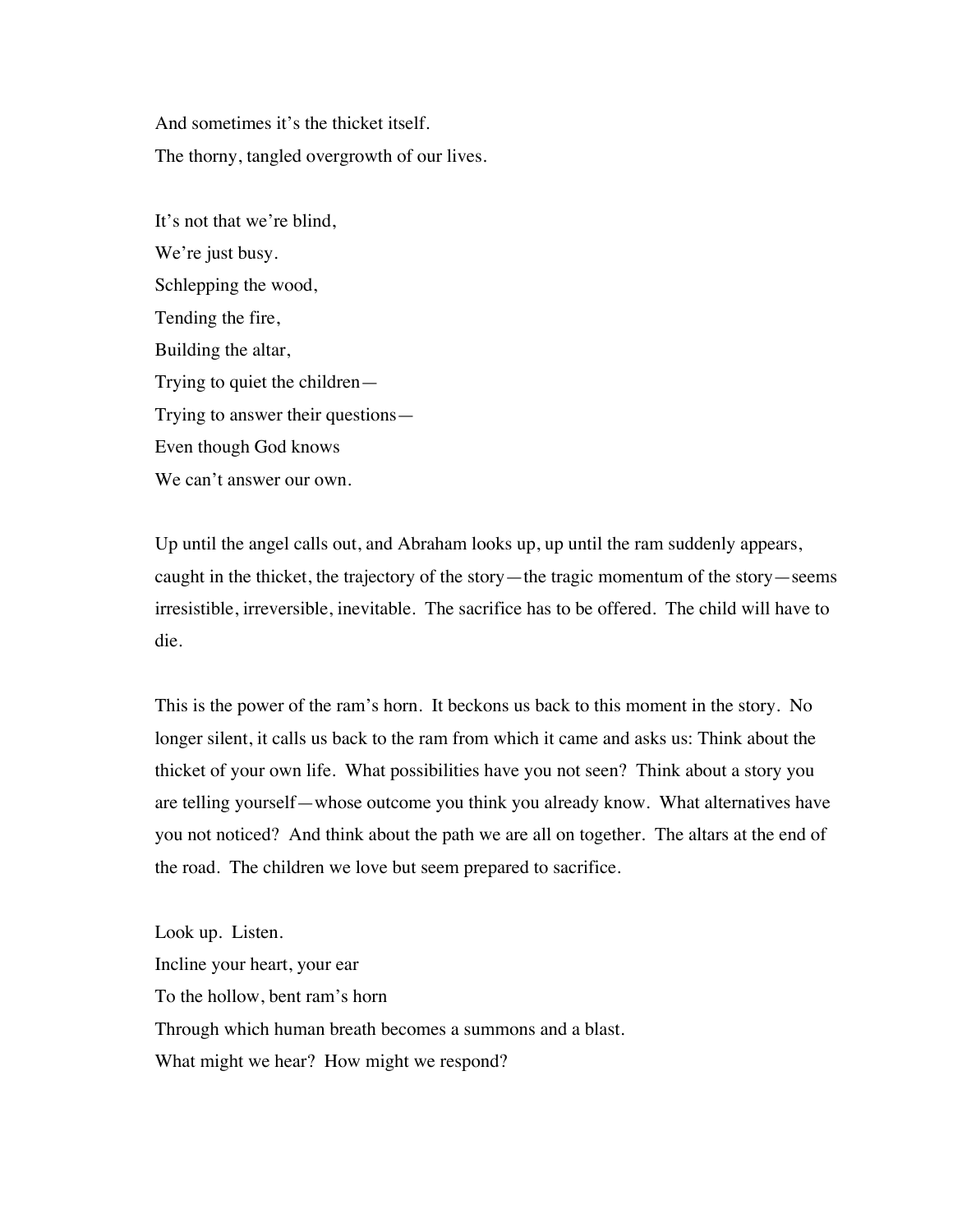And sometimes it's the thicket itself. The thorny, tangled overgrowth of our lives.

It's not that we're blind, We're just busy. Schlepping the wood, Tending the fire, Building the altar, Trying to quiet the children— Trying to answer their questions— Even though God knows We can't answer our own.

Up until the angel calls out, and Abraham looks up, up until the ram suddenly appears, caught in the thicket, the trajectory of the story—the tragic momentum of the story—seems irresistible, irreversible, inevitable. The sacrifice has to be offered. The child will have to die.

This is the power of the ram's horn. It beckons us back to this moment in the story. No longer silent, it calls us back to the ram from which it came and asks us: Think about the thicket of your own life. What possibilities have you not seen? Think about a story you are telling yourself—whose outcome you think you already know. What alternatives have you not noticed? And think about the path we are all on together. The altars at the end of the road. The children we love but seem prepared to sacrifice.

Look up. Listen. Incline your heart, your ear To the hollow, bent ram's horn Through which human breath becomes a summons and a blast. What might we hear? How might we respond?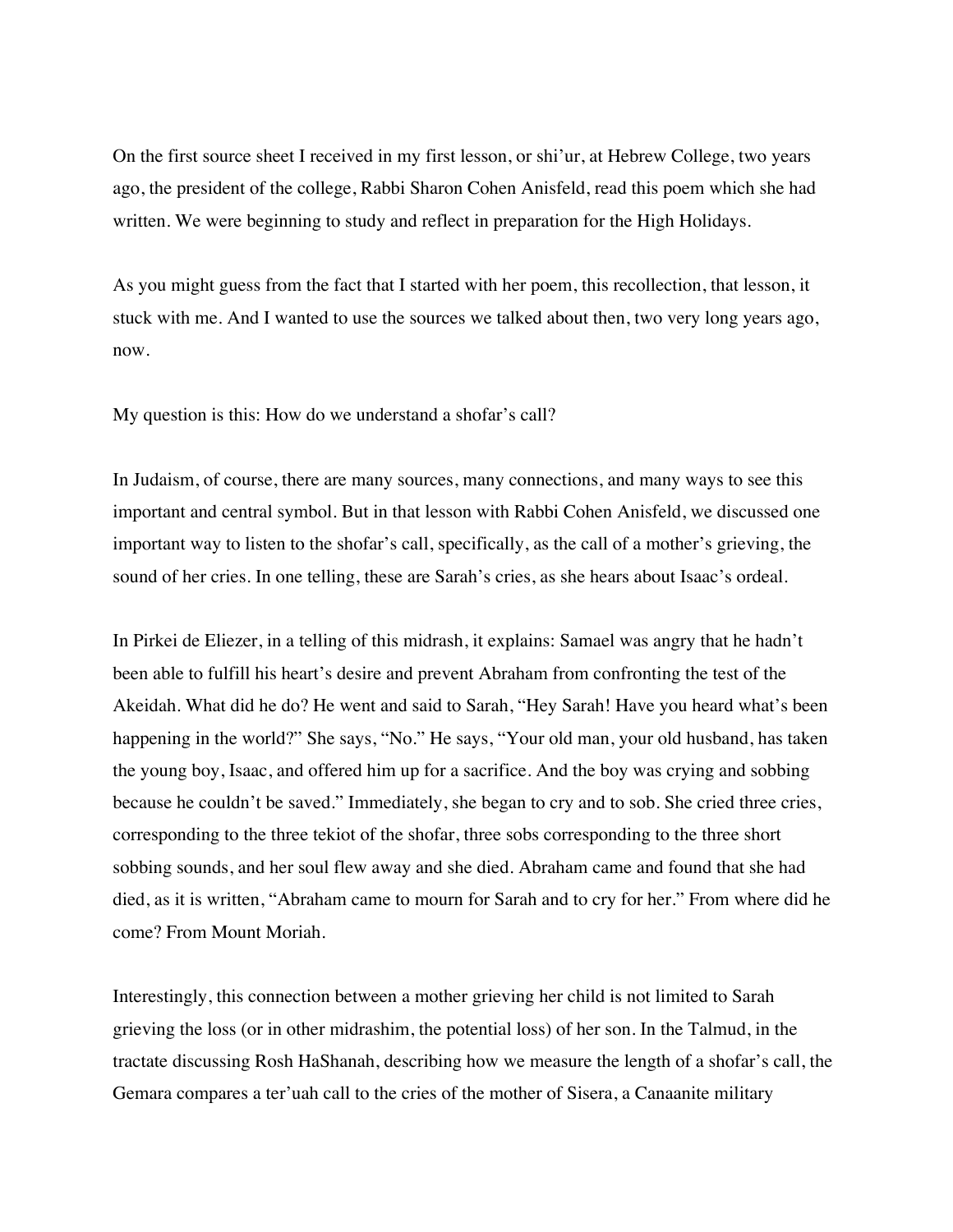On the first source sheet I received in my first lesson, or shi'ur, at Hebrew College, two years ago, the president of the college, Rabbi Sharon Cohen Anisfeld, read this poem which she had written. We were beginning to study and reflect in preparation for the High Holidays.

As you might guess from the fact that I started with her poem, this recollection, that lesson, it stuck with me. And I wanted to use the sources we talked about then, two very long years ago, now.

My question is this: How do we understand a shofar's call?

In Judaism, of course, there are many sources, many connections, and many ways to see this important and central symbol. But in that lesson with Rabbi Cohen Anisfeld, we discussed one important way to listen to the shofar's call, specifically, as the call of a mother's grieving, the sound of her cries. In one telling, these are Sarah's cries, as she hears about Isaac's ordeal.

In Pirkei de Eliezer, in a telling of this midrash, it explains: Samael was angry that he hadn't been able to fulfill his heart's desire and prevent Abraham from confronting the test of the Akeidah. What did he do? He went and said to Sarah, "Hey Sarah! Have you heard what's been happening in the world?" She says, "No." He says, "Your old man, your old husband, has taken the young boy, Isaac, and offered him up for a sacrifice. And the boy was crying and sobbing because he couldn't be saved." Immediately, she began to cry and to sob. She cried three cries, corresponding to the three tekiot of the shofar, three sobs corresponding to the three short sobbing sounds, and her soul flew away and she died. Abraham came and found that she had died, as it is written, "Abraham came to mourn for Sarah and to cry for her." From where did he come? From Mount Moriah.

Interestingly, this connection between a mother grieving her child is not limited to Sarah grieving the loss (or in other midrashim, the potential loss) of her son. In the Talmud, in the tractate discussing Rosh HaShanah, describing how we measure the length of a shofar's call, the Gemara compares a ter'uah call to the cries of the mother of Sisera, a Canaanite military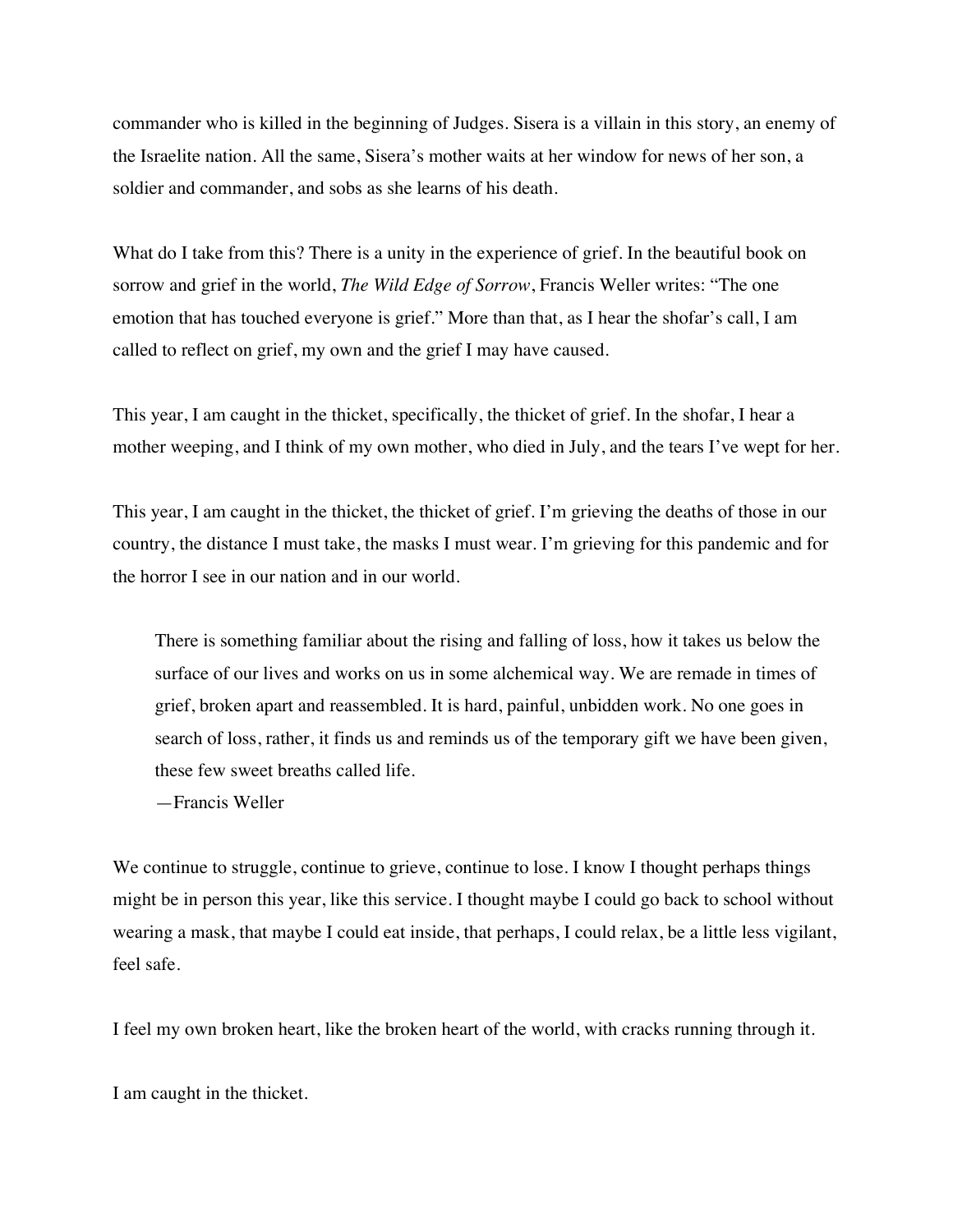commander who is killed in the beginning of Judges. Sisera is a villain in this story, an enemy of the Israelite nation. All the same, Sisera's mother waits at her window for news of her son, a soldier and commander, and sobs as she learns of his death.

What do I take from this? There is a unity in the experience of grief. In the beautiful book on sorrow and grief in the world, *The Wild Edge of Sorrow*, Francis Weller writes: "The one emotion that has touched everyone is grief." More than that, as I hear the shofar's call, I am called to reflect on grief, my own and the grief I may have caused.

This year, I am caught in the thicket, specifically, the thicket of grief. In the shofar, I hear a mother weeping, and I think of my own mother, who died in July, and the tears I've wept for her.

This year, I am caught in the thicket, the thicket of grief. I'm grieving the deaths of those in our country, the distance I must take, the masks I must wear. I'm grieving for this pandemic and for the horror I see in our nation and in our world.

There is something familiar about the rising and falling of loss, how it takes us below the surface of our lives and works on us in some alchemical way. We are remade in times of grief, broken apart and reassembled. It is hard, painful, unbidden work. No one goes in search of loss, rather, it finds us and reminds us of the temporary gift we have been given, these few sweet breaths called life.

—Francis Weller

We continue to struggle, continue to grieve, continue to lose. I know I thought perhaps things might be in person this year, like this service. I thought maybe I could go back to school without wearing a mask, that maybe I could eat inside, that perhaps, I could relax, be a little less vigilant, feel safe.

I feel my own broken heart, like the broken heart of the world, with cracks running through it.

I am caught in the thicket.